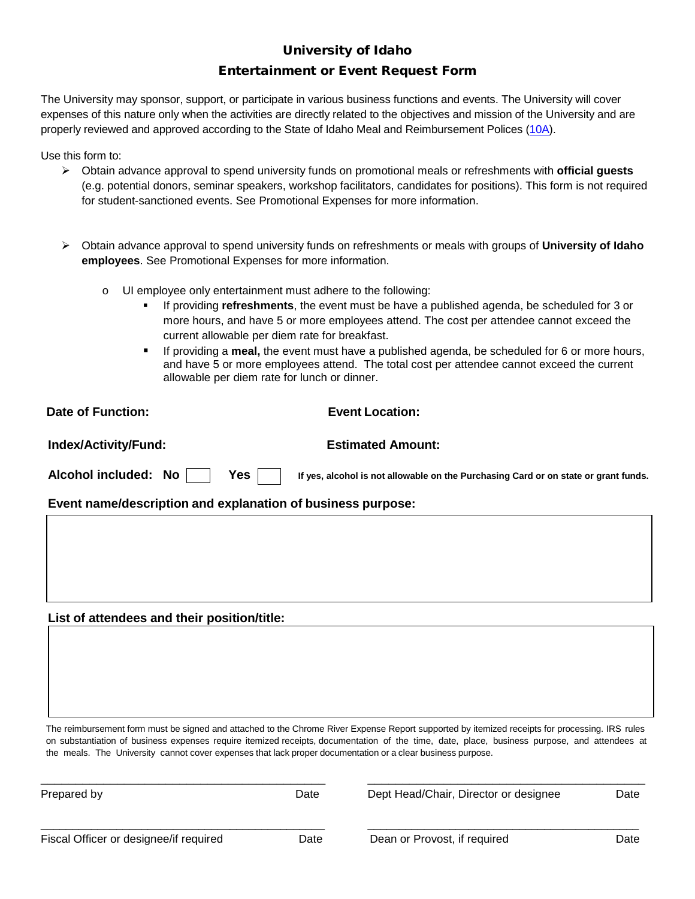# University of Idaho Entertainment or Event Request Form

The University may sponsor, support, or participate in various business functions and events. The University will cover expenses of this nature only when the activities are directly related to the objectives and mission of the University and are properly reviewed and approved according to the State of Idaho Meal and Reimbursement Polices [\(10A\)](https://www.sco.idaho.gov/web/sbe/sbeweb.nsf/pages/trvlpolicy.htm/$File/State%20Travel%20Policy%20and%20Procedures.pdf?OpenElement).

Use this form to:

- Obtain advance approval to spend university funds on promotional meals or refreshments with **official guests** (e.g. potential donors, seminar speakers, workshop facilitators, candidates for positions). This form is not required for student-sanctioned events. See Promotional Expenses for more information.
- Obtain advance approval to spend university funds on refreshments or meals with groups of **University of Idaho employees**. See Promotional Expenses for more information.
	- o UI employee only entertainment must adhere to the following:
		- If providing **refreshments**, the event must be have a published agenda, be scheduled for 3 or more hours, and have 5 or more employees attend. The cost per attendee cannot exceed the current allowable per diem rate for breakfast.
		- If providing a **meal,** the event must have a published agenda, be scheduled for 6 or more hours, and have 5 or more employees attend. The total cost per attendee cannot exceed the current allowable per diem rate for lunch or dinner.

| Date of Function:                                           | <b>Event Location:</b>                                                              |
|-------------------------------------------------------------|-------------------------------------------------------------------------------------|
| Index/Activity/Fund:                                        | <b>Estimated Amount:</b>                                                            |
| Alcohol included: No<br>Yes l                               | If yes, alcohol is not allowable on the Purchasing Card or on state or grant funds. |
| Event name/description and explanation of business purpose: |                                                                                     |
|                                                             |                                                                                     |

## **List of attendees and their position/title:**

The reimbursement form must be signed and attached to the Chrome River Expense Report supported by itemized receipts for processing. IRS rules on substantiation of business expenses require itemized receipts, documentation of the time, date, place, business purpose, and attendees at the meals. The University cannot cover expenses that lack proper documentation or a clear business purpose.

\_\_\_\_\_\_\_\_\_\_\_\_\_\_\_\_\_\_\_\_\_\_\_\_\_\_\_\_\_\_\_\_\_\_\_\_\_\_\_\_\_ \_\_\_\_\_\_\_\_\_\_\_\_\_\_\_\_\_\_\_\_\_\_\_\_\_\_\_\_\_\_\_\_\_\_\_\_\_\_\_\_

\_\_\_\_\_\_\_\_\_\_\_\_\_\_\_\_\_\_\_\_\_\_\_\_\_\_\_\_\_\_\_\_\_\_\_\_\_\_\_\_\_\_\_\_\_ \_\_\_\_\_\_\_\_\_\_\_\_\_\_\_\_\_\_\_\_\_\_\_\_\_\_\_\_\_\_\_\_\_\_\_\_\_\_\_\_\_\_\_

Prepared by Date Dept Head/Chair, Director or designee Date

Fiscal Officer or designee/if required **Date** Dean or Provost, if required Date Dean or Provost, if required